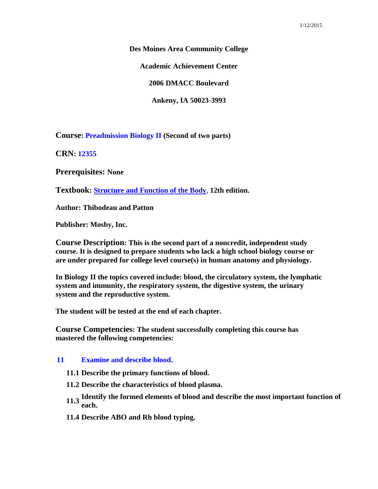**Des Moines Area Community College**

**Academic Achievement Center**

**2006 DMACC Boulevard**

**Ankeny, IA 50023-3993**

**Course: Preadmission Biology II (Second of two parts)**

**CRN: 12355**

**Prerequisites: None**

**Textbook: Structure and Function of the Body**, **12th edition.**

**Author: Thibodeau and Patton**

**Publisher: Mosby, Inc.**

**Course Description: This is the second part of a noncredit, independent study course. It is designed to prepare students who lack a high school biology course or are under prepared for college level course(s) in human anatomy and physiology.**

**In Biology II the topics covered include: blood, the circulatory system, the lymphatic system and immunity, the respiratory system, the digestive system, the urinary system and the reproductive system.**

**The student will be tested at the end of each chapter.** 

**Course Competencies: The student successfully completing this course has mastered the following competencies:**

### **11 Examine and describe blood.**

- **11.1 Describe the primary functions of blood.**
- **11.2 Describe the characteristics of blood plasma.**
- **11.3 Identify the formed elements of blood and describe the most important function of each.**
- **11.4 Describe ABO and Rh blood typing.**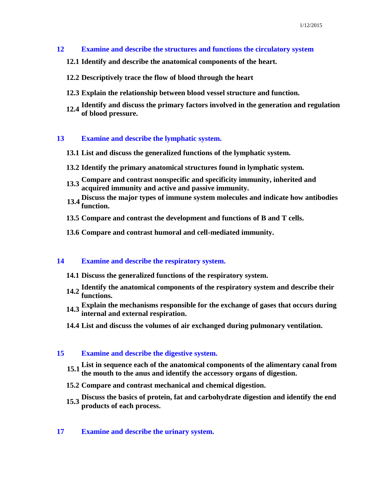- **12 Examine and describe the structures and functions the circulatory system**
	- **12.1 Identify and describe the anatomical components of the heart.**
	- **12.2 Descriptively trace the flow of blood through the heart**
	- **12.3 Explain the relationship between blood vessel structure and function.**
	- **12.4 Identify and discuss the primary factors involved in the generation and regulation of blood pressure.**

#### **13 Examine and describe the lymphatic system.**

- **13.1 List and discuss the generalized functions of the lymphatic system.**
- **13.2 Identify the primary anatomical structures found in lymphatic system.**
- **13.3 Compare and contrast nonspecific and specificity immunity, inherited and acquired immunity and active and passive immunity.**
- **13.4 Discuss the major types of immune system molecules and indicate how antibodies function.**
- **13.5 Compare and contrast the development and functions of B and T cells.**
- **13.6 Compare and contrast humoral and cell-mediated immunity.**

# **14 Examine and describe the respiratory system.**

- **14.1 Discuss the generalized functions of the respiratory system.**
- **14.2 Identify the anatomical components of the respiratory system and describe their functions.**
- **14.3 Explain the mechanisms responsible for the exchange of gases that occurs during internal and external respiration.**
- **14.4 List and discuss the volumes of air exchanged during pulmonary ventilation.**

### **15 Examine and describe the digestive system.**

- **15.1 List in sequence each of the anatomical components of the alimentary canal from the mouth to the anus and identify the accessory organs of digestion.**
- **15.2 Compare and contrast mechanical and chemical digestion.**
- **15.3 Discuss the basics of protein, fat and carbohydrate digestion and identify the end products of each process.**

### **17 Examine and describe the urinary system.**